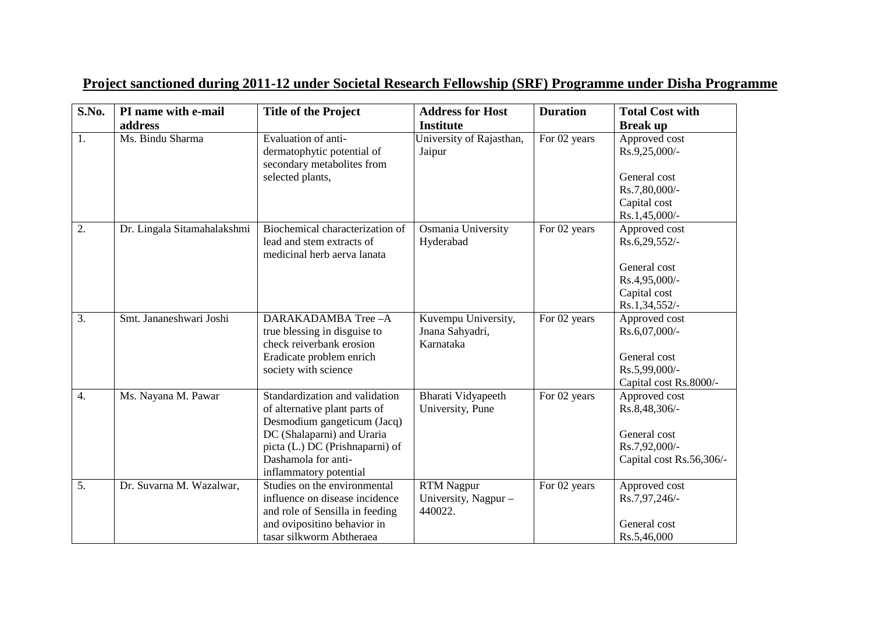| S.No.            | PI name with e-mail         | <b>Title of the Project</b>                                                                                                                                                                                      | <b>Address for Host</b>                              | <b>Duration</b> | <b>Total Cost with</b>                                                                             |
|------------------|-----------------------------|------------------------------------------------------------------------------------------------------------------------------------------------------------------------------------------------------------------|------------------------------------------------------|-----------------|----------------------------------------------------------------------------------------------------|
|                  | address                     |                                                                                                                                                                                                                  | <b>Institute</b>                                     |                 | <b>Break up</b>                                                                                    |
| $\overline{1}$ . | Ms. Bindu Sharma            | Evaluation of anti-<br>dermatophytic potential of<br>secondary metabolites from<br>selected plants,                                                                                                              | University of Rajasthan,<br>Jaipur                   | For 02 years    | Approved cost<br>Rs.9,25,000/-<br>General cost<br>Rs.7,80,000/-<br>Capital cost<br>$Rs.1,45,000/-$ |
| $\overline{2}$ . | Dr. Lingala Sitamahalakshmi | Biochemical characterization of<br>lead and stem extracts of<br>medicinal herb aerva lanata                                                                                                                      | Osmania University<br>Hyderabad                      | For 02 years    | Approved cost<br>Rs.6,29,552/-<br>General cost<br>Rs.4,95,000/-<br>Capital cost<br>Rs.1,34,552/-   |
| 3.               | Smt. Jananeshwari Joshi     | DARAKADAMBA Tree-A<br>true blessing in disguise to<br>check reiverbank erosion<br>Eradicate problem enrich<br>society with science                                                                               | Kuvempu University,<br>Jnana Sahyadri,<br>Karnataka  | For 02 years    | Approved cost<br>Rs.6,07,000/-<br>General cost<br>Rs.5,99,000/-<br>Capital cost Rs.8000/-          |
| $\overline{4}$ . | Ms. Nayana M. Pawar         | Standardization and validation<br>of alternative plant parts of<br>Desmodium gangeticum (Jacq)<br>DC (Shalaparni) and Uraria<br>picta (L.) DC (Prishnaparni) of<br>Dashamola for anti-<br>inflammatory potential | Bharati Vidyapeeth<br>University, Pune               | For 02 years    | Approved cost<br>Rs.8,48,306/-<br>General cost<br>Rs.7,92,000/-<br>Capital cost Rs.56,306/-        |
| $\overline{5}$ . | Dr. Suvarna M. Wazalwar,    | Studies on the environmental<br>influence on disease incidence<br>and role of Sensilla in feeding<br>and ovipositino behavior in<br>tasar silkworm Abtheraea                                                     | <b>RTM</b> Nagpur<br>University, Nagpur -<br>440022. | For 02 years    | Approved cost<br>Rs.7,97,246/-<br>General cost<br>Rs.5,46,000                                      |

## **Project sanctioned during 2011-12 under Societal Research Fellowship (SRF) Programme under Disha Programme**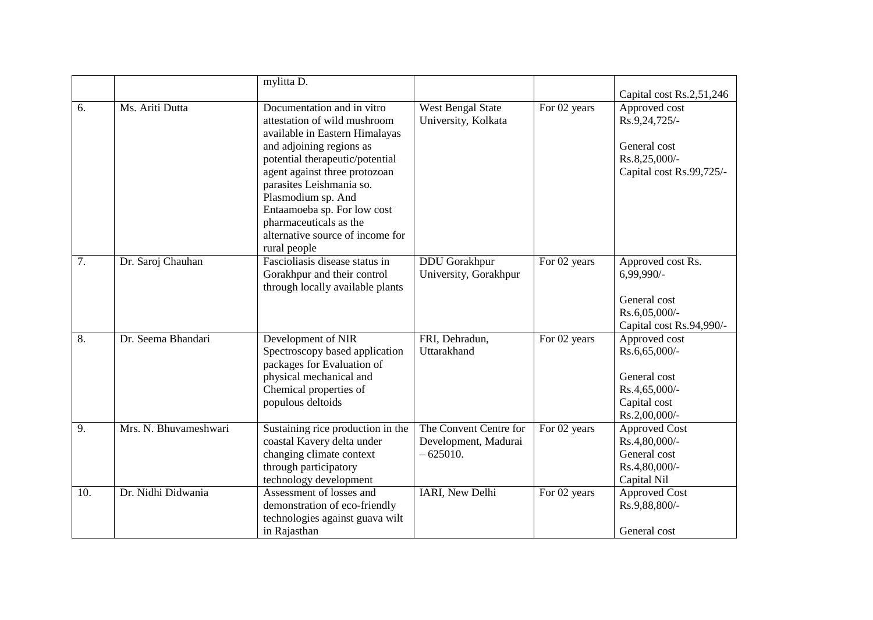|     |                       | mylitta D.                                                                                                                                                                                                                                                                                                                                                  |                                                              |              |                                                                                                  |
|-----|-----------------------|-------------------------------------------------------------------------------------------------------------------------------------------------------------------------------------------------------------------------------------------------------------------------------------------------------------------------------------------------------------|--------------------------------------------------------------|--------------|--------------------------------------------------------------------------------------------------|
|     |                       |                                                                                                                                                                                                                                                                                                                                                             |                                                              |              | Capital cost Rs.2,51,246                                                                         |
| 6.  | Ms. Ariti Dutta       | Documentation and in vitro<br>attestation of wild mushroom<br>available in Eastern Himalayas<br>and adjoining regions as<br>potential therapeutic/potential<br>agent against three protozoan<br>parasites Leishmania so.<br>Plasmodium sp. And<br>Entaamoeba sp. For low cost<br>pharmaceuticals as the<br>alternative source of income for<br>rural people | <b>West Bengal State</b><br>University, Kolkata              | For 02 years | Approved cost<br>Rs.9,24,725/-<br>General cost<br>Rs.8,25,000/-<br>Capital cost Rs.99,725/-      |
| 7.  | Dr. Saroj Chauhan     | Fascioliasis disease status in<br>Gorakhpur and their control<br>through locally available plants                                                                                                                                                                                                                                                           | <b>DDU</b> Gorakhpur<br>University, Gorakhpur                | For 02 years | Approved cost Rs.<br>$6,99,990/-$<br>General cost<br>Rs.6,05,000/-<br>Capital cost Rs.94,990/-   |
| 8.  | Dr. Seema Bhandari    | Development of NIR<br>Spectroscopy based application<br>packages for Evaluation of<br>physical mechanical and<br>Chemical properties of<br>populous deltoids                                                                                                                                                                                                | FRI, Dehradun,<br>Uttarakhand                                | For 02 years | Approved cost<br>Rs.6,65,000/-<br>General cost<br>Rs.4,65,000/-<br>Capital cost<br>Rs.2,00,000/- |
| 9.  | Mrs. N. Bhuvameshwari | Sustaining rice production in the<br>coastal Kavery delta under<br>changing climate context<br>through participatory<br>technology development                                                                                                                                                                                                              | The Convent Centre for<br>Development, Madurai<br>$-625010.$ | For 02 years | <b>Approved Cost</b><br>Rs.4,80,000/-<br>General cost<br>Rs.4,80,000/-<br>Capital Nil            |
| 10. | Dr. Nidhi Didwania    | Assessment of losses and<br>demonstration of eco-friendly<br>technologies against guava wilt<br>in Rajasthan                                                                                                                                                                                                                                                | IARI, New Delhi                                              | For 02 years | <b>Approved Cost</b><br>Rs.9,88,800/-<br>General cost                                            |